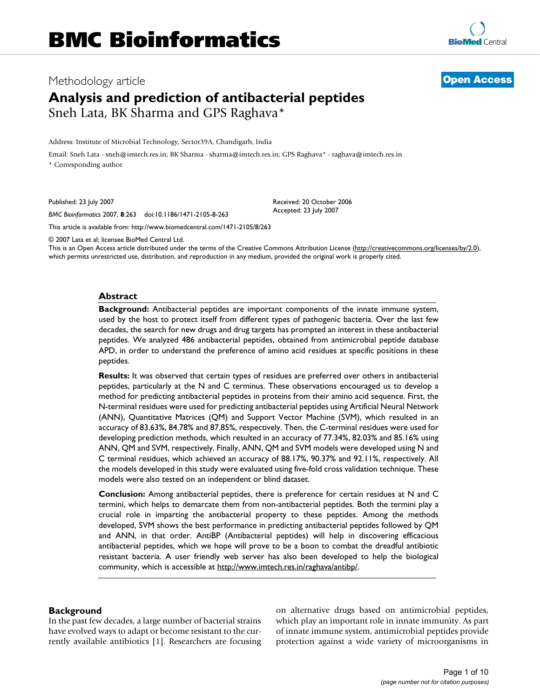## Methodology article **[Open Access](http://www.biomedcentral.com/info/about/charter/)**

# **Analysis and prediction of antibacterial peptides** Sneh Lata, BK Sharma and GPS Raghava\*

Address: Institute of Microbial Technology, Sector39A, Chandigarh, India

Email: Sneh Lata - sneh@imtech.res.in; BK Sharma - sharma@imtech.res.in; GPS Raghava\* - raghava@imtech.res.in \* Corresponding author

Published: 23 July 2007

*BMC Bioinformatics* 2007, **8**:263 doi:10.1186/1471-2105-8-263

[This article is available from: http://www.biomedcentral.com/1471-2105/8/263](http://www.biomedcentral.com/1471-2105/8/263)

© 2007 Lata et al; licensee BioMed Central Ltd.

This is an Open Access article distributed under the terms of the Creative Commons Attribution License [\(http://creativecommons.org/licenses/by/2.0\)](http://creativecommons.org/licenses/by/2.0), which permits unrestricted use, distribution, and reproduction in any medium, provided the original work is properly cited.

### **Abstract**

**Background:** Antibacterial peptides are important components of the innate immune system, used by the host to protect itself from different types of pathogenic bacteria. Over the last few decades, the search for new drugs and drug targets has prompted an interest in these antibacterial peptides. We analyzed 486 antibacterial peptides, obtained from antimicrobial peptide database APD, in order to understand the preference of amino acid residues at specific positions in these peptides.

**Results:** It was observed that certain types of residues are preferred over others in antibacterial peptides, particularly at the N and C terminus. These observations encouraged us to develop a method for predicting antibacterial peptides in proteins from their amino acid sequence. First, the N-terminal residues were used for predicting antibacterial peptides using Artificial Neural Network (ANN), Quantitative Matrices (QM) and Support Vector Machine (SVM), which resulted in an accuracy of 83.63%, 84.78% and 87.85%, respectively. Then, the C-terminal residues were used for developing prediction methods, which resulted in an accuracy of 77.34%, 82.03% and 85.16% using ANN, QM and SVM, respectively. Finally, ANN, QM and SVM models were developed using N and C terminal residues, which achieved an accuracy of 88.17%, 90.37% and 92.11%, respectively. All the models developed in this study were evaluated using five-fold cross validation technique. These models were also tested on an independent or blind dataset.

**Conclusion:** Among antibacterial peptides, there is preference for certain residues at N and C termini, which helps to demarcate them from non-antibacterial peptides. Both the termini play a crucial role in imparting the antibacterial property to these peptides. Among the methods developed, SVM shows the best performance in predicting antibacterial peptides followed by QM and ANN, in that order. AntiBP (Antibacterial peptides) will help in discovering efficacious antibacterial peptides, which we hope will prove to be a boon to combat the dreadful antibiotic resistant bacteria. A user friendly web server has also been developed to help the biological community, which is accessible at [http://www.imtech.res.in/raghava/antibp/.](http://www.imtech.res.in/raghava/antibp/)

## **Background**

In the past few decades, a large number of bacterial strains have evolved ways to adapt or become resistant to the currently available antibiotics [1]. Researchers are focusing on alternative drugs based on antimicrobial peptides, which play an important role in innate immunity. As part of innate immune system, antimicrobial peptides provide protection against a wide variety of microorganisms in

Accepted: 23 July 2007

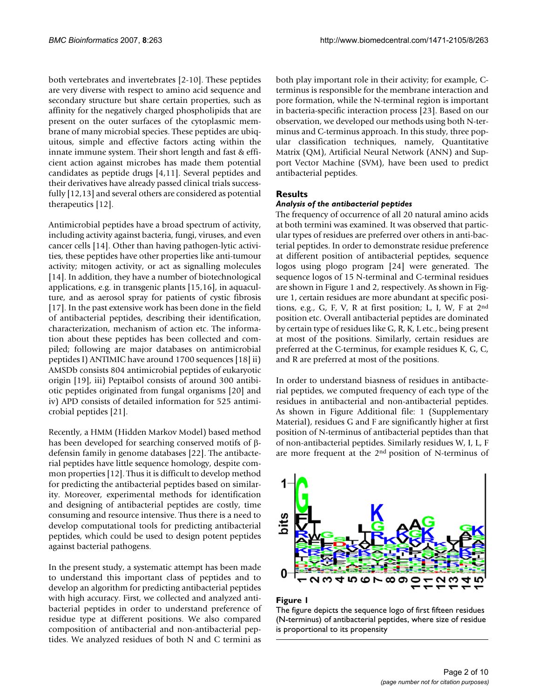both vertebrates and invertebrates [2-10]. These peptides are very diverse with respect to amino acid sequence and secondary structure but share certain properties, such as affinity for the negatively charged phospholipids that are present on the outer surfaces of the cytoplasmic membrane of many microbial species. These peptides are ubiquitous, simple and effective factors acting within the innate immune system. Their short length and fast & efficient action against microbes has made them potential candidates as peptide drugs [4,11]. Several peptides and their derivatives have already passed clinical trials successfully [12,13] and several others are considered as potential therapeutics [12].

Antimicrobial peptides have a broad spectrum of activity, including activity against bacteria, fungi, viruses, and even cancer cells [14]. Other than having pathogen-lytic activities, these peptides have other properties like anti-tumour activity; mitogen activity, or act as signalling molecules [14]. In addition, they have a number of biotechnological applications, e.g. in transgenic plants [15,16], in aquaculture, and as aerosol spray for patients of cystic fibrosis [17]. In the past extensive work has been done in the field of antibacterial peptides, describing their identification, characterization, mechanism of action etc. The information about these peptides has been collected and compiled; following are major databases on antimicrobial peptides I) ANTIMIC have around 1700 sequences [18] ii) AMSDb consists 804 antimicrobial peptides of eukaryotic origin [19], iii) Peptaibol consists of around 300 antibiotic peptides originated from fungal organisms [20] and iv) APD consists of detailed information for 525 antimicrobial peptides [21].

Recently, a HMM (Hidden Markov Model) based method has been developed for searching conserved motifs of βdefensin family in genome databases [22]. The antibacterial peptides have little sequence homology, despite common properties [12]. Thus it is difficult to develop method for predicting the antibacterial peptides based on similarity. Moreover, experimental methods for identification and designing of antibacterial peptides are costly, time consuming and resource intensive. Thus there is a need to develop computational tools for predicting antibacterial peptides, which could be used to design potent peptides against bacterial pathogens.

In the present study, a systematic attempt has been made to understand this important class of peptides and to develop an algorithm for predicting antibacterial peptides with high accuracy. First, we collected and analyzed antibacterial peptides in order to understand preference of residue type at different positions. We also compared composition of antibacterial and non-antibacterial peptides. We analyzed residues of both N and C termini as

both play important role in their activity; for example, Cterminus is responsible for the membrane interaction and pore formation, while the N-terminal region is important in bacteria-specific interaction process [23]. Based on our observation, we developed our methods using both N-terminus and C-terminus approach. In this study, three popular classification techniques, namely, Quantitative Matrix (QM), Artificial Neural Network (ANN) and Support Vector Machine (SVM), have been used to predict antibacterial peptides.

## **Results**

## *Analysis of the antibacterial peptides*

The frequency of occurrence of all 20 natural amino acids at both termini was examined. It was observed that particular types of residues are preferred over others in anti-bacterial peptides. In order to demonstrate residue preference at different position of antibacterial peptides, sequence logos using plogo program [24] were generated. The sequence logos of 15 N-terminal and C-terminal residues are shown in Figure 1 and 2, respectively. As shown in Figure 1, certain residues are more abundant at specific positions, e.g., G, F, V, R at first position; L, I, W, F at  $2<sup>nd</sup>$ position etc. Overall antibacterial peptides are dominated by certain type of residues like G, R, K, L etc., being present at most of the positions. Similarly, certain residues are preferred at the C-terminus, for example residues K, G, C, and R are preferred at most of the positions.

In order to understand biasness of residues in antibacterial peptides, we computed frequency of each type of the residues in antibacterial and non-antibacterial peptides. As shown in Figure Additional file: 1 (Supplementary Material), residues G and F are significantly higher at first position of N-terminus of antibacterial peptides than that of non-antibacterial peptides. Similarly residues W, I, L, F are more frequent at the 2nd position of N-terminus of



## Figure 1

The figure depicts the sequence logo of first fifteen residues (N-terminus) of antibacterial peptides, where size of residue is proportional to its propensity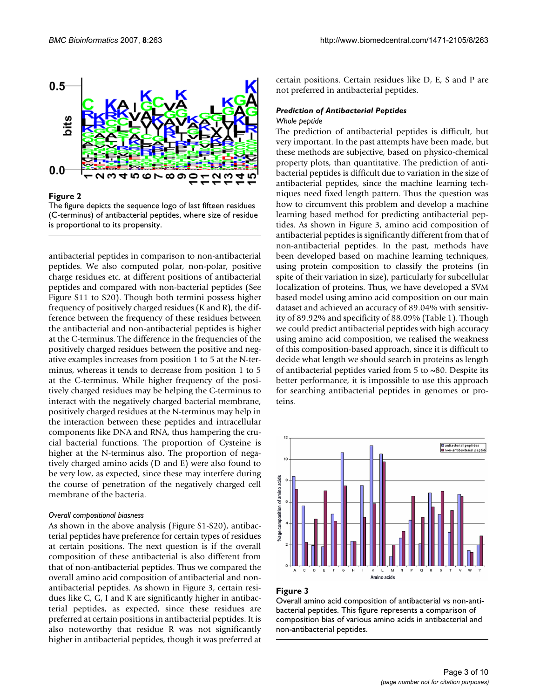

### **Figure 2**

The figure depicts the sequence logo of last fifteen residues (C-terminus) of antibacterial peptides, where size of residue is proportional to its propensity.

antibacterial peptides in comparison to non-antibacterial peptides. We also computed polar, non-polar, positive charge residues etc. at different positions of antibacterial peptides and compared with non-bacterial peptides (See Figure S11 to S20). Though both termini possess higher frequency of positively charged residues (K and R), the difference between the frequency of these residues between the antibacterial and non-antibacterial peptides is higher at the C-terminus. The difference in the frequencies of the positively charged residues between the positive and negative examples increases from position 1 to 5 at the N-terminus, whereas it tends to decrease from position 1 to 5 at the C-terminus. While higher frequency of the positively charged residues may be helping the C-terminus to interact with the negatively charged bacterial membrane, positively charged residues at the N-terminus may help in the interaction between these peptides and intracellular components like DNA and RNA, thus hampering the crucial bacterial functions. The proportion of Cysteine is higher at the N-terminus also. The proportion of negatively charged amino acids (D and E) were also found to be very low, as expected, since these may interfere during the course of penetration of the negatively charged cell membrane of the bacteria.

#### *Overall compositional biasness*

As shown in the above analysis (Figure S1-S20), antibacterial peptides have preference for certain types of residues at certain positions. The next question is if the overall composition of these antibacterial is also different from that of non-antibacterial peptides. Thus we compared the overall amino acid composition of antibacterial and nonantibacterial peptides. As shown in Figure 3, certain residues like C, G, I and K are significantly higher in antibacterial peptides, as expected, since these residues are preferred at certain positions in antibacterial peptides. It is also noteworthy that residue R was not significantly higher in antibacterial peptides, though it was preferred at certain positions. Certain residues like D, E, S and P are not preferred in antibacterial peptides.

## *Prediction of Antibacterial Peptides Whole peptide*

The prediction of antibacterial peptides is difficult, but very important. In the past attempts have been made, but these methods are subjective, based on physico-chemical property plots, than quantitative. The prediction of antibacterial peptides is difficult due to variation in the size of antibacterial peptides, since the machine learning techniques need fixed length pattern. Thus the question was how to circumvent this problem and develop a machine learning based method for predicting antibacterial peptides. As shown in Figure 3, amino acid composition of antibacterial peptides is significantly different from that of non-antibacterial peptides. In the past, methods have been developed based on machine learning techniques, using protein composition to classify the proteins (in spite of their variation in size), particularly for subcellular localization of proteins. Thus, we have developed a SVM based model using amino acid composition on our main dataset and achieved an accuracy of 89.04% with sensitivity of 89.92% and specificity of 88.09% (Table 1). Though we could predict antibacterial peptides with high accuracy using amino acid composition, we realised the weakness of this composition-based approach, since it is difficult to decide what length we should search in proteins as length of antibacterial peptides varied from 5 to  $\sim$ 80. Despite its better performance, it is impossible to use this approach for searching antibacterial peptides in genomes or proteins.



## Figure 3

Overall amino acid composition of antibacterial vs non-antibacterial peptides. This figure represents a comparison of composition bias of various amino acids in antibacterial and non-antibacterial peptides.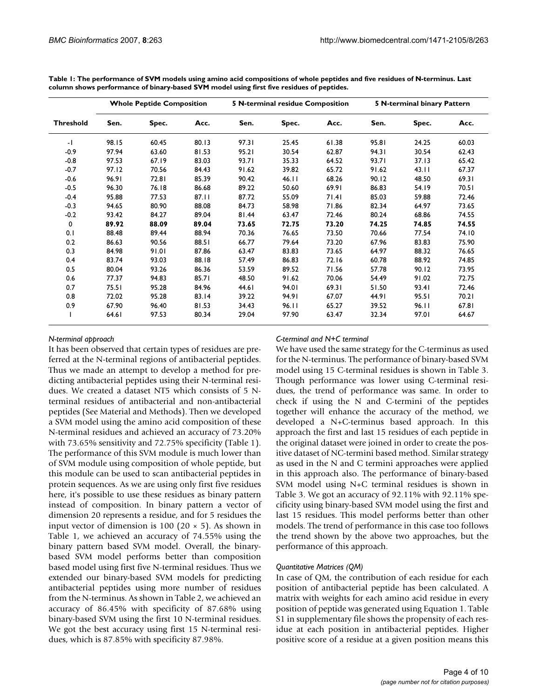|                  | <b>Whole Peptide Composition</b> |       |       |       | <b>5 N-terminal residue Composition</b> |       | 5 N-terminal binary Pattern |       |       |
|------------------|----------------------------------|-------|-------|-------|-----------------------------------------|-------|-----------------------------|-------|-------|
| <b>Threshold</b> | Sen.                             | Spec. | Acc.  | Sen.  | Spec.                                   | Acc.  | Sen.                        | Spec. | Acc.  |
| $-1$             | 98.15                            | 60.45 | 80.13 | 97.31 | 25.45                                   | 61.38 | 95.81                       | 24.25 | 60.03 |
| $-0.9$           | 97.94                            | 63.60 | 81.53 | 95.21 | 30.54                                   | 62.87 | 94.31                       | 30.54 | 62.43 |
| $-0.8$           | 97.53                            | 67.19 | 83.03 | 93.71 | 35.33                                   | 64.52 | 93.71                       | 37.13 | 65.42 |
| $-0.7$           | 97.12                            | 70.56 | 84.43 | 91.62 | 39.82                                   | 65.72 | 91.62                       | 43.11 | 67.37 |
| $-0.6$           | 96.91                            | 72.81 | 85.39 | 90.42 | 46.11                                   | 68.26 | 90.12                       | 48.50 | 69.31 |
| $-0.5$           | 96.30                            | 76.18 | 86.68 | 89.22 | 50.60                                   | 69.91 | 86.83                       | 54.19 | 70.51 |
| $-0.4$           | 95.88                            | 77.53 | 87.11 | 87.72 | 55.09                                   | 71.41 | 85.03                       | 59.88 | 72.46 |
| $-0.3$           | 94.65                            | 80.90 | 88.08 | 84.73 | 58.98                                   | 71.86 | 82.34                       | 64.97 | 73.65 |
| $-0.2$           | 93.42                            | 84.27 | 89.04 | 81.44 | 63.47                                   | 72.46 | 80.24                       | 68.86 | 74.55 |
| 0                | 89.92                            | 88.09 | 89.04 | 73.65 | 72.75                                   | 73.20 | 74.25                       | 74.85 | 74.55 |
| 0.1              | 88.48                            | 89.44 | 88.94 | 70.36 | 76.65                                   | 73.50 | 70.66                       | 77.54 | 74.10 |
| 0.2              | 86.63                            | 90.56 | 88.51 | 66.77 | 79.64                                   | 73.20 | 67.96                       | 83.83 | 75.90 |
| 0.3              | 84.98                            | 91.01 | 87.86 | 63.47 | 83.83                                   | 73.65 | 64.97                       | 88.32 | 76.65 |
| 0.4              | 83.74                            | 93.03 | 88.18 | 57.49 | 86.83                                   | 72.16 | 60.78                       | 88.92 | 74.85 |
| 0.5              | 80.04                            | 93.26 | 86.36 | 53.59 | 89.52                                   | 71.56 | 57.78                       | 90.12 | 73.95 |
| 0.6              | 77.37                            | 94.83 | 85.71 | 48.50 | 91.62                                   | 70.06 | 54.49                       | 91.02 | 72.75 |
| 0.7              | 75.51                            | 95.28 | 84.96 | 44.61 | 94.01                                   | 69.31 | 51.50                       | 93.41 | 72.46 |
| 0.8              | 72.02                            | 95.28 | 83.14 | 39.22 | 94.91                                   | 67.07 | 44.91                       | 95.51 | 70.21 |
| 0.9              | 67.90                            | 96.40 | 81.53 | 34.43 | 96.II                                   | 65.27 | 39.52                       | 96.II | 67.81 |
|                  | 64.61                            | 97.53 | 80.34 | 29.04 | 97.90                                   | 63.47 | 32.34                       | 97.01 | 64.67 |

**Table 1: The performance of SVM models using amino acid compositions of whole peptides and five residues of N-terminus. Last column shows performance of binary-based SVM model using first five residues of peptides.**

## *N-terminal approach*

It has been observed that certain types of residues are preferred at the N-terminal regions of antibacterial peptides. Thus we made an attempt to develop a method for predicting antibacterial peptides using their N-terminal residues. We created a dataset NT5 which consists of 5 Nterminal residues of antibacterial and non-antibacterial peptides (See Material and Methods). Then we developed a SVM model using the amino acid composition of these N-terminal residues and achieved an accuracy of 73.20% with 73.65% sensitivity and 72.75% specificity (Table 1). The performance of this SVM module is much lower than of SVM module using composition of whole peptide, but this module can be used to scan antibacterial peptides in protein sequences. As we are using only first five residues here, it's possible to use these residues as binary pattern instead of composition. In binary pattern a vector of dimension 20 represents a residue, and for 5 residues the input vector of dimension is 100 (20  $\times$  5). As shown in Table 1, we achieved an accuracy of 74.55% using the binary pattern based SVM model. Overall, the binarybased SVM model performs better than composition based model using first five N-terminal residues. Thus we extended our binary-based SVM models for predicting antibacterial peptides using more number of residues from the N-terminus. As shown in Table 2, we achieved an accuracy of 86.45% with specificity of 87.68% using binary-based SVM using the first 10 N-terminal residues. We got the best accuracy using first 15 N-terminal residues, which is 87.85% with specificity 87.98%.

## *C-terminal and N+C terminal*

We have used the same strategy for the C-terminus as used for the N-terminus. The performance of binary-based SVM model using 15 C-terminal residues is shown in Table 3. Though performance was lower using C-terminal residues, the trend of performance was same. In order to check if using the N and C-termini of the peptides together will enhance the accuracy of the method, we developed a N+C-terminus based approach. In this approach the first and last 15 residues of each peptide in the original dataset were joined in order to create the positive dataset of NC-termini based method. Similar strategy as used in the N and C termini approaches were applied in this approach also. The performance of binary-based SVM model using N+C terminal residues is shown in Table 3. We got an accuracy of 92.11% with 92.11% specificity using binary-based SVM model using the first and last 15 residues. This model performs better than other models. The trend of performance in this case too follows the trend shown by the above two approaches, but the performance of this approach.

## *Quantitative Matrices (QM)*

In case of QM, the contribution of each residue for each position of antibacterial peptide has been calculated. A matrix with weights for each amino acid residue in every position of peptide was generated using Equation 1. Table S1 in supplementary file shows the propensity of each residue at each position in antibacterial peptides. Higher positive score of a residue at a given position means this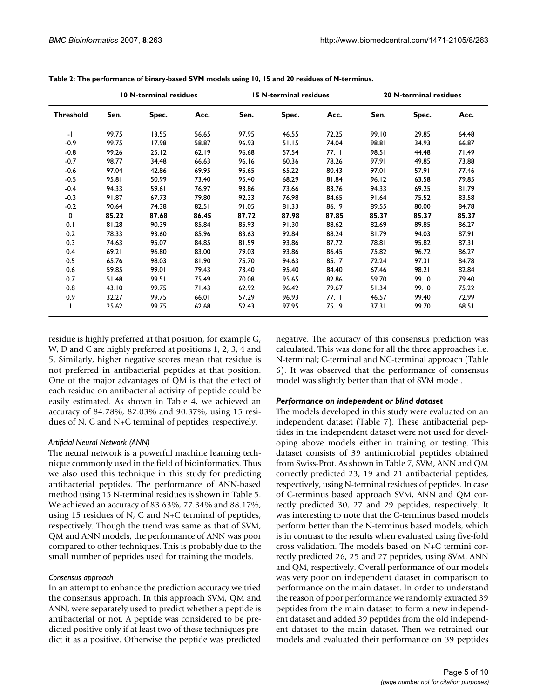|                  | <b>10 N-terminal residues</b> |       |       |       | <b>15 N-terminal residues</b> |       | <b>20 N-terminal residues</b> |       |       |
|------------------|-------------------------------|-------|-------|-------|-------------------------------|-------|-------------------------------|-------|-------|
| <b>Threshold</b> | Sen.                          | Spec. | Acc.  | Sen.  | Spec.                         | Acc.  | Sen.                          | Spec. | Acc.  |
| $-1$             | 99.75                         | 13.55 | 56.65 | 97.95 | 46.55                         | 72.25 | 99.10                         | 29.85 | 64.48 |
| $-0.9$           | 99.75                         | 17.98 | 58.87 | 96.93 | 51.15                         | 74.04 | 98.81                         | 34.93 | 66.87 |
| $-0.8$           | 99.26                         | 25.12 | 62.19 | 96.68 | 57.54                         | 77.II | 98.51                         | 44.48 | 71.49 |
| $-0.7$           | 98.77                         | 34.48 | 66.63 | 96.16 | 60.36                         | 78.26 | 97.91                         | 49.85 | 73.88 |
| $-0.6$           | 97.04                         | 42.86 | 69.95 | 95.65 | 65.22                         | 80.43 | 97.01                         | 57.91 | 77.46 |
| $-0.5$           | 95.81                         | 50.99 | 73.40 | 95.40 | 68.29                         | 81.84 | 96.12                         | 63.58 | 79.85 |
| $-0.4$           | 94.33                         | 59.61 | 76.97 | 93.86 | 73.66                         | 83.76 | 94.33                         | 69.25 | 81.79 |
| $-0.3$           | 91.87                         | 67.73 | 79.80 | 92.33 | 76.98                         | 84.65 | 91.64                         | 75.52 | 83.58 |
| $-0.2$           | 90.64                         | 74.38 | 82.51 | 91.05 | 81.33                         | 86.19 | 89.55                         | 80.00 | 84.78 |
| $\mathbf 0$      | 85.22                         | 87.68 | 86.45 | 87.72 | 87.98                         | 87.85 | 85.37                         | 85.37 | 85.37 |
| 0.1              | 81.28                         | 90.39 | 85.84 | 85.93 | 91.30                         | 88.62 | 82.69                         | 89.85 | 86.27 |
| 0.2              | 78.33                         | 93.60 | 85.96 | 83.63 | 92.84                         | 88.24 | 81.79                         | 94.03 | 87.91 |
| 0.3              | 74.63                         | 95.07 | 84.85 | 81.59 | 93.86                         | 87.72 | 78.81                         | 95.82 | 87.31 |
| 0.4              | 69.21                         | 96.80 | 83.00 | 79.03 | 93.86                         | 86.45 | 75.82                         | 96.72 | 86.27 |
| 0.5              | 65.76                         | 98.03 | 81.90 | 75.70 | 94.63                         | 85.17 | 72.24                         | 97.31 | 84.78 |
| 0.6              | 59.85                         | 99.01 | 79.43 | 73.40 | 95.40                         | 84.40 | 67.46                         | 98.21 | 82.84 |
| 0.7              | 51.48                         | 99.51 | 75.49 | 70.08 | 95.65                         | 82.86 | 59.70                         | 99.10 | 79.40 |
| 0.8              | 43.10                         | 99.75 | 71.43 | 62.92 | 96.42                         | 79.67 | 51.34                         | 99.10 | 75.22 |
| 0.9              | 32.27                         | 99.75 | 66.01 | 57.29 | 96.93                         | 77.11 | 46.57                         | 99.40 | 72.99 |
|                  | 25.62                         | 99.75 | 62.68 | 52.43 | 97.95                         | 75.19 | 37.31                         | 99.70 | 68.51 |

| Table 2: The performance of binary-based SVM models using 10, 15 and 20 residues of N-terminus. |  |  |
|-------------------------------------------------------------------------------------------------|--|--|
|                                                                                                 |  |  |

residue is highly preferred at that position, for example G, W, D and C are highly preferred at positions 1, 2, 3, 4 and 5. Similarly, higher negative scores mean that residue is not preferred in antibacterial peptides at that position. One of the major advantages of QM is that the effect of each residue on antibacterial activity of peptide could be easily estimated. As shown in Table 4, we achieved an accuracy of 84.78%, 82.03% and 90.37%, using 15 residues of N, C and N+C terminal of peptides, respectively.

## *Artificial Neural Network (ANN)*

The neural network is a powerful machine learning technique commonly used in the field of bioinformatics. Thus we also used this technique in this study for predicting antibacterial peptides. The performance of ANN-based method using 15 N-terminal residues is shown in Table 5. We achieved an accuracy of 83.63%, 77.34% and 88.17%, using 15 residues of N, C and N+C terminal of peptides, respectively. Though the trend was same as that of SVM, QM and ANN models, the performance of ANN was poor compared to other techniques. This is probably due to the small number of peptides used for training the models.

## *Consensus approach*

In an attempt to enhance the prediction accuracy we tried the consensus approach. In this approach SVM, QM and ANN, were separately used to predict whether a peptide is antibacterial or not. A peptide was considered to be predicted positive only if at least two of these techniques predict it as a positive. Otherwise the peptide was predicted negative. The accuracy of this consensus prediction was calculated. This was done for all the three approaches i.e. N-terminal; C-terminal and NC-terminal approach (Table 6). It was observed that the performance of consensus model was slightly better than that of SVM model.

## *Performance on independent or blind dataset*

The models developed in this study were evaluated on an independent dataset (Table 7). These antibacterial peptides in the independent dataset were not used for developing above models either in training or testing. This dataset consists of 39 antimicrobial peptides obtained from Swiss-Prot. As shown in Table 7, SVM, ANN and QM correctly predicted 23, 19 and 21 antibacterial peptides, respectively, using N-terminal residues of peptides. In case of C-terminus based approach SVM, ANN and QM correctly predicted 30, 27 and 29 peptides, respectively. It was interesting to note that the C-terminus based models perform better than the N-terminus based models, which is in contrast to the results when evaluated using five-fold cross validation. The models based on N+C termini correctly predicted 26, 25 and 27 peptides, using SVM, ANN and QM, respectively. Overall performance of our models was very poor on independent dataset in comparison to performance on the main dataset. In order to understand the reason of poor performance we randomly extracted 39 peptides from the main dataset to form a new independent dataset and added 39 peptides from the old independent dataset to the main dataset. Then we retrained our models and evaluated their performance on 39 peptides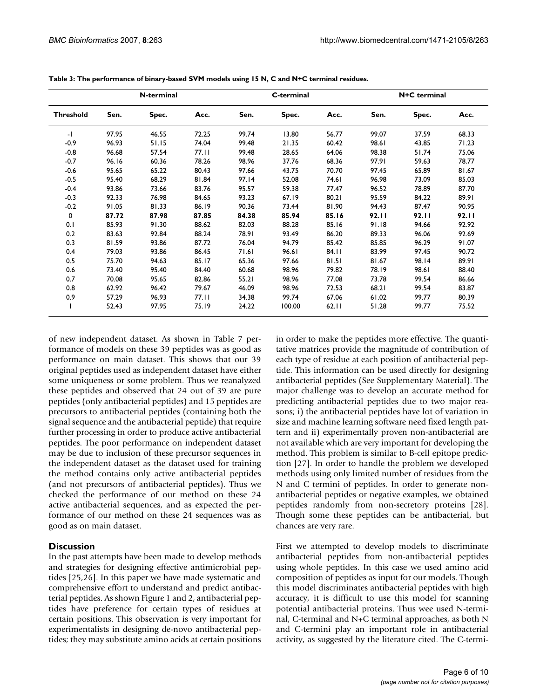|                  |       | N-terminal |       |       | C-terminal |       | N+C terminal |       |       |  |
|------------------|-------|------------|-------|-------|------------|-------|--------------|-------|-------|--|
| <b>Threshold</b> | Sen.  | Spec.      | Acc.  | Sen.  | Spec.      | Acc.  | Sen.         | Spec. | Acc.  |  |
| $-1$             | 97.95 | 46.55      | 72.25 | 99.74 | 13.80      | 56.77 | 99.07        | 37.59 | 68.33 |  |
| $-0.9$           | 96.93 | 51.15      | 74.04 | 99.48 | 21.35      | 60.42 | 98.61        | 43.85 | 71.23 |  |
| $-0.8$           | 96.68 | 57.54      | 77.II | 99.48 | 28.65      | 64.06 | 98.38        | 51.74 | 75.06 |  |
| $-0.7$           | 96.16 | 60.36      | 78.26 | 98.96 | 37.76      | 68.36 | 97.91        | 59.63 | 78.77 |  |
| $-0.6$           | 95.65 | 65.22      | 80.43 | 97.66 | 43.75      | 70.70 | 97.45        | 65.89 | 81.67 |  |
| $-0.5$           | 95.40 | 68.29      | 81.84 | 97.14 | 52.08      | 74.61 | 96.98        | 73.09 | 85.03 |  |
| $-0.4$           | 93.86 | 73.66      | 83.76 | 95.57 | 59.38      | 77.47 | 96.52        | 78.89 | 87.70 |  |
| $-0.3$           | 92.33 | 76.98      | 84.65 | 93.23 | 67.19      | 80.21 | 95.59        | 84.22 | 89.91 |  |
| $-0.2$           | 91.05 | 81.33      | 86.19 | 90.36 | 73.44      | 81.90 | 94.43        | 87.47 | 90.95 |  |
| 0                | 87.72 | 87.98      | 87.85 | 84.38 | 85.94      | 85.16 | 92.II        | 92.II | 92.II |  |
| 0.1              | 85.93 | 91.30      | 88.62 | 82.03 | 88.28      | 85.16 | 91.18        | 94.66 | 92.92 |  |
| 0.2              | 83.63 | 92.84      | 88.24 | 78.91 | 93.49      | 86.20 | 89.33        | 96.06 | 92.69 |  |
| 0.3              | 81.59 | 93.86      | 87.72 | 76.04 | 94.79      | 85.42 | 85.85        | 96.29 | 91.07 |  |
| 0.4              | 79.03 | 93.86      | 86.45 | 71.61 | 96.61      | 84.11 | 83.99        | 97.45 | 90.72 |  |
| 0.5              | 75.70 | 94.63      | 85.17 | 65.36 | 97.66      | 81.51 | 81.67        | 98.14 | 89.91 |  |
| 0.6              | 73.40 | 95.40      | 84.40 | 60.68 | 98.96      | 79.82 | 78.19        | 98.61 | 88.40 |  |
| 0.7              | 70.08 | 95.65      | 82.86 | 55.21 | 98.96      | 77.08 | 73.78        | 99.54 | 86.66 |  |
| 0.8              | 62.92 | 96.42      | 79.67 | 46.09 | 98.96      | 72.53 | 68.21        | 99.54 | 83.87 |  |
| 0.9              | 57.29 | 96.93      | 77.11 | 34.38 | 99.74      | 67.06 | 61.02        | 99.77 | 80.39 |  |
|                  | 52.43 | 97.95      | 75.19 | 24.22 | 100.00     | 62.11 | 51.28        | 99.77 | 75.52 |  |

**Table 3: The performance of binary-based SVM models using 15 N, C and N+C terminal residues.**

of new independent dataset. As shown in Table 7 performance of models on these 39 peptides was as good as performance on main dataset. This shows that our 39 original peptides used as independent dataset have either some uniqueness or some problem. Thus we reanalyzed these peptides and observed that 24 out of 39 are pure peptides (only antibacterial peptides) and 15 peptides are precursors to antibacterial peptides (containing both the signal sequence and the antibacterial peptide) that require further processing in order to produce active antibacterial peptides. The poor performance on independent dataset may be due to inclusion of these precursor sequences in the independent dataset as the dataset used for training the method contains only active antibacterial peptides (and not precursors of antibacterial peptides). Thus we checked the performance of our method on these 24 active antibacterial sequences, and as expected the performance of our method on these 24 sequences was as good as on main dataset.

## **Discussion**

In the past attempts have been made to develop methods and strategies for designing effective antimicrobial peptides [25,26]. In this paper we have made systematic and comprehensive effort to understand and predict antibacterial peptides. As shown Figure 1 and 2, antibacterial peptides have preference for certain types of residues at certain positions. This observation is very important for experimentalists in designing de-novo antibacterial peptides; they may substitute amino acids at certain positions in order to make the peptides more effective. The quantitative matrices provide the magnitude of contribution of each type of residue at each position of antibacterial peptide. This information can be used directly for designing antibacterial peptides (See Supplementary Material). The major challenge was to develop an accurate method for predicting antibacterial peptides due to two major reasons; i) the antibacterial peptides have lot of variation in size and machine learning software need fixed length pattern and ii) experimentally proven non-antibacterial are not available which are very important for developing the method. This problem is similar to B-cell epitope prediction [27]. In order to handle the problem we developed methods using only limited number of residues from the N and C termini of peptides. In order to generate nonantibacterial peptides or negative examples, we obtained peptides randomly from non-secretory proteins [28]. Though some these peptides can be antibacterial, but chances are very rare.

First we attempted to develop models to discriminate antibacterial peptides from non-antibacterial peptides using whole peptides. In this case we used amino acid composition of peptides as input for our models. Though this model discriminates antibacterial peptides with high accuracy, it is difficult to use this model for scanning potential antibacterial proteins. Thus wee used N-terminal, C-terminal and N+C terminal approaches, as both N and C-termini play an important role in antibacterial activity, as suggested by the literature cited. The C-termi-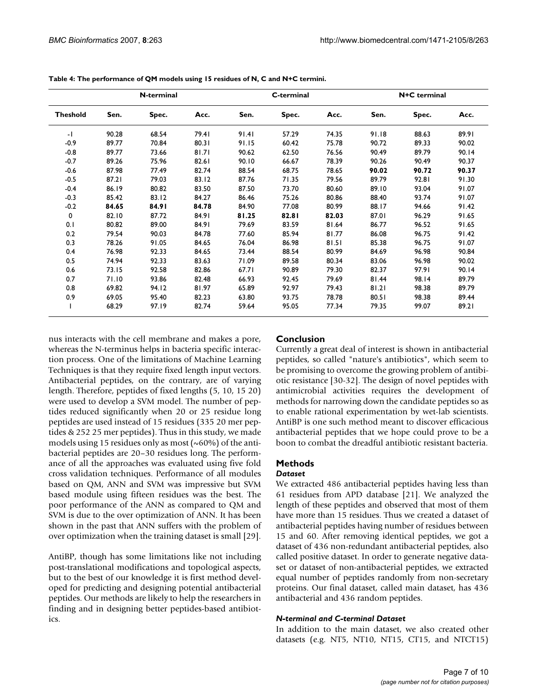|                 |       | N-terminal |       |       | C-terminal |       | N+C terminal |       |       |  |
|-----------------|-------|------------|-------|-------|------------|-------|--------------|-------|-------|--|
| <b>Theshold</b> | Sen.  | Spec.      | Acc.  | Sen.  | Spec.      | Acc.  | Sen.         | Spec. | Acc.  |  |
| $-1$            | 90.28 | 68.54      | 79.41 | 91.41 | 57.29      | 74.35 | 91.18        | 88.63 | 89.91 |  |
| $-0.9$          | 89.77 | 70.84      | 80.31 | 91.15 | 60.42      | 75.78 | 90.72        | 89.33 | 90.02 |  |
| $-0.8$          | 89.77 | 73.66      | 81.71 | 90.62 | 62.50      | 76.56 | 90.49        | 89.79 | 90.14 |  |
| $-0.7$          | 89.26 | 75.96      | 82.61 | 90.10 | 66.67      | 78.39 | 90.26        | 90.49 | 90.37 |  |
| -0.6            | 87.98 | 77.49      | 82.74 | 88.54 | 68.75      | 78.65 | 90.02        | 90.72 | 90.37 |  |
| $-0.5$          | 87.21 | 79.03      | 83.12 | 87.76 | 71.35      | 79.56 | 89.79        | 92.81 | 91.30 |  |
| $-0.4$          | 86.19 | 80.82      | 83.50 | 87.50 | 73.70      | 80.60 | 89.10        | 93.04 | 91.07 |  |
| $-0.3$          | 85.42 | 83.12      | 84.27 | 86.46 | 75.26      | 80.86 | 88.40        | 93.74 | 91.07 |  |
| $-0.2$          | 84.65 | 84.91      | 84.78 | 84.90 | 77.08      | 80.99 | 88.17        | 94.66 | 91.42 |  |
| $\mathbf 0$     | 82.10 | 87.72      | 84.91 | 81.25 | 82.81      | 82.03 | 87.01        | 96.29 | 91.65 |  |
| 0.1             | 80.82 | 89.00      | 84.91 | 79.69 | 83.59      | 81.64 | 86.77        | 96.52 | 91.65 |  |
| 0.2             | 79.54 | 90.03      | 84.78 | 77.60 | 85.94      | 81.77 | 86.08        | 96.75 | 91.42 |  |
| 0.3             | 78.26 | 91.05      | 84.65 | 76.04 | 86.98      | 81.51 | 85.38        | 96.75 | 91.07 |  |
| 0.4             | 76.98 | 92.33      | 84.65 | 73.44 | 88.54      | 80.99 | 84.69        | 96.98 | 90.84 |  |
| 0.5             | 74.94 | 92.33      | 83.63 | 71.09 | 89.58      | 80.34 | 83.06        | 96.98 | 90.02 |  |
| 0.6             | 73.15 | 92.58      | 82.86 | 67.71 | 90.89      | 79.30 | 82.37        | 97.91 | 90.14 |  |
| 0.7             | 71.10 | 93.86      | 82.48 | 66.93 | 92.45      | 79.69 | 81.44        | 98.14 | 89.79 |  |
| 0.8             | 69.82 | 94.12      | 81.97 | 65.89 | 92.97      | 79.43 | 81.21        | 98.38 | 89.79 |  |
| 0.9             | 69.05 | 95.40      | 82.23 | 63.80 | 93.75      | 78.78 | 80.51        | 98.38 | 89.44 |  |
|                 | 68.29 | 97.19      | 82.74 | 59.64 | 95.05      | 77.34 | 79.35        | 99.07 | 89.21 |  |

**Table 4: The performance of QM models using 15 residues of N, C and N+C termini.**

nus interacts with the cell membrane and makes a pore, whereas the N-terminus helps in bacteria specific interaction process. One of the limitations of Machine Learning Techniques is that they require fixed length input vectors. Antibacterial peptides, on the contrary, are of varying length. Therefore, peptides of fixed lengths (5, 10, 15 20) were used to develop a SVM model. The number of peptides reduced significantly when 20 or 25 residue long peptides are used instead of 15 residues (335 20 mer peptides & 252 25 mer peptides). Thus in this study, we made models using 15 residues only as most  $(\sim 60\%)$  of the antibacterial peptides are 20–30 residues long. The performance of all the approaches was evaluated using five fold cross validation techniques. Performance of all modules based on QM, ANN and SVM was impressive but SVM based module using fifteen residues was the best. The poor performance of the ANN as compared to QM and SVM is due to the over optimization of ANN. It has been shown in the past that ANN suffers with the problem of over optimization when the training dataset is small [29].

AntiBP, though has some limitations like not including post-translational modifications and topological aspects, but to the best of our knowledge it is first method developed for predicting and designing potential antibacterial peptides. Our methods are likely to help the researchers in finding and in designing better peptides-based antibiotics.

## **Conclusion**

Currently a great deal of interest is shown in antibacterial peptides, so called "nature's antibiotics", which seem to be promising to overcome the growing problem of antibiotic resistance [30-32]. The design of novel peptides with antimicrobial activities requires the development of methods for narrowing down the candidate peptides so as to enable rational experimentation by wet-lab scientists. AntiBP is one such method meant to discover efficacious antibacterial peptides that we hope could prove to be a boon to combat the dreadful antibiotic resistant bacteria.

## **Methods**

## *Dataset*

We extracted 486 antibacterial peptides having less than 61 residues from APD database [21]. We analyzed the length of these peptides and observed that most of them have more than 15 residues. Thus we created a dataset of antibacterial peptides having number of residues between 15 and 60. After removing identical peptides, we got a dataset of 436 non-redundant antibacterial peptides, also called positive dataset. In order to generate negative dataset or dataset of non-antibacterial peptides, we extracted equal number of peptides randomly from non-secretary proteins. Our final dataset, called main dataset, has 436 antibacterial and 436 random peptides.

## *N-terminal and C-terminal Dataset*

In addition to the main dataset, we also created other datasets (e.g. NT5, NT10, NT15, CT15, and NTCT15)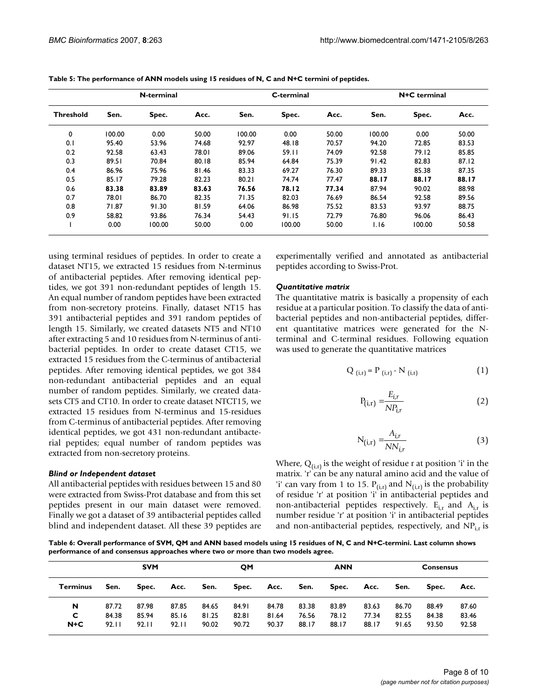|                  |        | N-terminal |       |        | C-terminal |       | N+C terminal |        |       |  |
|------------------|--------|------------|-------|--------|------------|-------|--------------|--------|-------|--|
| <b>Threshold</b> | Sen.   | Spec.      | Acc.  | Sen.   | Spec.      | Acc.  | Sen.         | Spec.  | Acc.  |  |
| 0                | 100.00 | 0.00       | 50.00 | 100.00 | 0.00       | 50.00 | 100.00       | 0.00   | 50.00 |  |
| 0.1              | 95.40  | 53.96      | 74.68 | 92.97  | 48.18      | 70.57 | 94.20        | 72.85  | 83.53 |  |
| 0.2              | 92.58  | 63.43      | 78.01 | 89.06  | 59.11      | 74.09 | 92.58        | 79.12  | 85.85 |  |
| 0.3              | 89.51  | 70.84      | 80.18 | 85.94  | 64.84      | 75.39 | 91.42        | 82.83  | 87.12 |  |
| 0.4              | 86.96  | 75.96      | 81.46 | 83.33  | 69.27      | 76.30 | 89.33        | 85.38  | 87.35 |  |
| 0.5              | 85.17  | 79.28      | 82.23 | 80.21  | 74.74      | 77.47 | 88.17        | 88.17  | 88.17 |  |
| 0.6              | 83.38  | 83.89      | 83.63 | 76.56  | 78.12      | 77.34 | 87.94        | 90.02  | 88.98 |  |
| 0.7              | 78.01  | 86.70      | 82.35 | 71.35  | 82.03      | 76.69 | 86.54        | 92.58  | 89.56 |  |
| 0.8              | 71.87  | 91.30      | 81.59 | 64.06  | 86.98      | 75.52 | 83.53        | 93.97  | 88.75 |  |
| 0.9              | 58.82  | 93.86      | 76.34 | 54.43  | 91.15      | 72.79 | 76.80        | 96.06  | 86.43 |  |
|                  | 0.00   | 100.00     | 50.00 | 0.00   | 100.00     | 50.00 | 1.16         | 100.00 | 50.58 |  |

**Table 5: The performance of ANN models using 15 residues of N, C and N+C termini of peptides.**

using terminal residues of peptides. In order to create a dataset NT15, we extracted 15 residues from N-terminus of antibacterial peptides. After removing identical peptides, we got 391 non-redundant peptides of length 15. An equal number of random peptides have been extracted from non-secretory proteins. Finally, dataset NT15 has 391 antibacterial peptides and 391 random peptides of length 15. Similarly, we created datasets NT5 and NT10 after extracting 5 and 10 residues from N-terminus of antibacterial peptides. In order to create dataset CT15, we extracted 15 residues from the C-terminus of antibacterial peptides. After removing identical peptides, we got 384 non-redundant antibacterial peptides and an equal number of random peptides. Similarly, we created datasets CT5 and CT10. In order to create dataset NTCT15, we extracted 15 residues from N-terminus and 15-residues from C-terminus of antibacterial peptides. After removing identical peptides, we got 431 non-redundant antibacterial peptides; equal number of random peptides was extracted from non-secretory proteins.

## *Blind or Independent dataset*

All antibacterial peptides with residues between 15 and 80 were extracted from Swiss-Prot database and from this set peptides present in our main dataset were removed. Finally we got a dataset of 39 antibacterial peptides called blind and independent dataset. All these 39 peptides are experimentally verified and annotated as antibacterial peptides according to Swiss-Prot.

### *Quantitative matrix*

The quantitative matrix is basically a propensity of each residue at a particular position. To classify the data of antibacterial peptides and non-antibacterial peptides, different quantitative matrices were generated for the Nterminal and C-terminal residues. Following equation was used to generate the quantitative matrices

$$
Q_{(i,r)} = P_{(i,r)} - N_{(i,r)}
$$
 (1)

$$
P_{(i,r)} = \frac{E_{i,r}}{NP_{i,r}}
$$
 (2)

$$
N_{(i,r)} = \frac{A_{i,r}}{NN_{i,r}}
$$
 (3)

Where,  $Q_{(i,r)}$  is the weight of residue r at position 'i' in the matrix. 'r' can be any natural amino acid and the value of 'i' can vary from 1 to 15.  $P_{(i,r)}$  and  $N_{(i,r)}$  is the probability of residue 'r' at position 'i' in antibacterial peptides and non-antibacterial peptides respectively.  $E_{i,r}$  and  $A_{i,r}$  is number residue 'r' at position 'i' in antibacterial peptides and non-antibacterial peptides, respectively, and  $NP_{i,r}$  is

**Table 6: Overall performance of SVM, QM and ANN based models using 15 residues of N, C and N+C-termini. Last column shows performance of and consensus approaches where two or more than two models agree.**

|          | <b>SVM</b> |       |       | QΜ    |       |       | ANN   |       |       | <b>Consensus</b> |       |       |
|----------|------------|-------|-------|-------|-------|-------|-------|-------|-------|------------------|-------|-------|
| Terminus | Sen.       | Spec. | Acc.  | Sen.  | Spec. | Acc.  | Sen.  | Spec. | Acc.  | Sen.             | Spec. | Acc.  |
| N        | 87.72      | 87.98 | 87.85 | 84.65 | 84.91 | 84.78 | 83.38 | 83.89 | 83.63 | 86.70            | 88.49 | 87.60 |
| C        | 84.38      | 85.94 | 85.16 | 81.25 | 82.81 | 81.64 | 76.56 | 78.12 | 77.34 | 82.55            | 84.38 | 83.46 |
| $N+C$    | 92.11      | 92.11 | 92.II | 90.02 | 90.72 | 90.37 | 88.17 | 88.17 | 88.17 | 91.65            | 93.50 | 92.58 |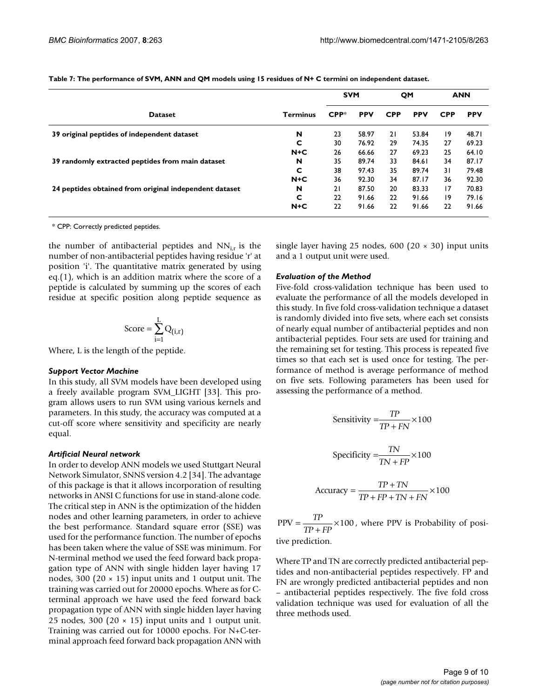|                                                        |                 | <b>SVM</b> |            | QM         |            | <b>ANN</b>      |            |
|--------------------------------------------------------|-----------------|------------|------------|------------|------------|-----------------|------------|
| <b>Dataset</b>                                         | <b>Terminus</b> | $CPP*$     | <b>PPV</b> | <b>CPP</b> | <b>PPV</b> | <b>CPP</b>      | <b>PPV</b> |
| 39 original peptides of independent dataset            | N               | 23         | 58.97      | 21         | 53.84      | $\overline{19}$ | 48.71      |
|                                                        | c               | 30         | 76.92      | 29         | 74.35      | 27              | 69.23      |
|                                                        | $N+C$           | 26         | 66.66      | 27         | 69.23      | 25              | 64.10      |
| 39 randomly extracted peptides from main dataset       | N               | 35         | 89.74      | 33         | 84.61      | 34              | 87.17      |
|                                                        | C               | 38         | 97.43      | 35         | 89.74      | 31              | 79.48      |
|                                                        | $N+C$           | 36         | 92.30      | 34         | 87.17      | 36              | 92.30      |
| 24 peptides obtained from original independent dataset | N               | 21         | 87.50      | 20         | 83.33      | 17              | 70.83      |
|                                                        | C               | 22         | 91.66      | 22         | 91.66      | 19              | 79.16      |
|                                                        | $N+C$           | 22         | 91.66      | 22         | 91.66      | 22              | 91.66      |

**Table 7: The performance of SVM, ANN and QM models using 15 residues of N+ C termini on independent dataset.**

\* CPP: Correctly predicted peptides.

the number of antibacterial peptides and  $NN_{i,r}$  is the number of non-antibacterial peptides having residue 'r' at position 'i'. The quantitative matrix generated by using eq.(1), which is an addition matrix where the score of a peptide is calculated by summing up the scores of each residue at specific position along peptide sequence as

$$
\text{Score} = \sum_{i=1}^{L} Q_{(i,r)}
$$

Where, L is the length of the peptide.

#### *Support Vector Machine*

In this study, all SVM models have been developed using a freely available program SVM\_LIGHT [33]. This program allows users to run SVM using various kernels and parameters. In this study, the accuracy was computed at a cut-off score where sensitivity and specificity are nearly equal.

## *Artificial Neural network*

In order to develop ANN models we used Stuttgart Neural Network Simulator, SNNS version 4.2 [34]. The advantage of this package is that it allows incorporation of resulting networks in ANSI C functions for use in stand-alone code. The critical step in ANN is the optimization of the hidden nodes and other learning parameters, in order to achieve the best performance. Standard square error (SSE) was used for the performance function. The number of epochs has been taken where the value of SSE was minimum. For N-terminal method we used the feed forward back propagation type of ANN with single hidden layer having 17 nodes, 300 (20  $\times$  15) input units and 1 output unit. The training was carried out for 20000 epochs. Where as for Cterminal approach we have used the feed forward back propagation type of ANN with single hidden layer having 25 nodes, 300 (20  $\times$  15) input units and 1 output unit. Training was carried out for 10000 epochs. For N+C-terminal approach feed forward back propagation ANN with

single layer having 25 nodes, 600 (20  $\times$  30) input units and a 1 output unit were used.

## *Evaluation of the Method*

Five-fold cross-validation technique has been used to evaluate the performance of all the models developed in this study. In five fold cross-validation technique a dataset is randomly divided into five sets, where each set consists of nearly equal number of antibacterial peptides and non antibacterial peptides. Four sets are used for training and the remaining set for testing. This process is repeated five times so that each set is used once for testing. The performance of method is average performance of method on five sets. Following parameters has been used for assessing the performance of a method.

$$
Sensitivity = \frac{TP}{TP + FN} \times 100
$$

$$
\text{Specificity} = \frac{TN}{TN + FP} \times 100
$$

$$
Accuracy = \frac{TP + TN}{TP + FP + TN + FN} \times 100
$$

 $PPV = \frac{TP}{TP} \times 100$ , where PPV is Probability of positive prediction.  $\frac{11}{TP + FP}$  × 100

Where TP and TN are correctly predicted antibacterial peptides and non-antibacterial peptides respectively. FP and FN are wrongly predicted antibacterial peptides and non – antibacterial peptides respectively. The five fold cross validation technique was used for evaluation of all the three methods used.